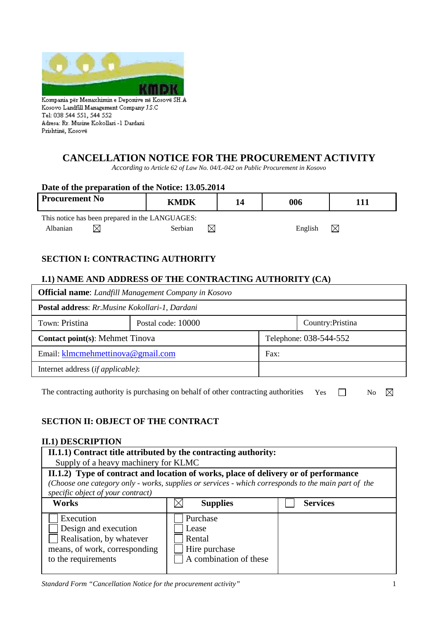

Kosovo Landfill Management Company J.S.C Tel: 038 544 551, 544 552 Adresa: Rr. Musine Kokollari -1 Dardani Prishtinë, Kosovë

# **CANCELLATION NOTICE FOR THE PROCUREMENT ACTIVITY**

*According to Article 62 of Law No. 04/L-042 on Public Procurement in Kosovo*

| Date of the preparation of the Notice: 13.05.2014 |                      |    |         |     |  |  |  |
|---------------------------------------------------|----------------------|----|---------|-----|--|--|--|
| <b>Procurement No</b>                             | <b>KMDK</b>          | 14 | 006     | 111 |  |  |  |
| This notice has been prepared in the LANGUAGES:   |                      |    |         |     |  |  |  |
| Albanian                                          | $\bowtie$<br>Serbian |    | English | IX  |  |  |  |

# **SECTION I: CONTRACTING AUTHORITY**

## **I.1) NAME AND ADDRESS OF THE CONTRACTING AUTHORITY (CA)**

| <b>Official name:</b> Landfill Management Company in Kosovo |                    |                        |                   |  |  |
|-------------------------------------------------------------|--------------------|------------------------|-------------------|--|--|
| Postal address: Rr.Musine Kokollari-1, Dardani              |                    |                        |                   |  |  |
| Town: Pristina                                              | Postal code: 10000 |                        | Country: Pristina |  |  |
| <b>Contact point(s): Mehmet Tinovally</b>                   |                    | Telephone: 038-544-552 |                   |  |  |
| Email: klmcmehmettinova@gmail.com                           |                    | Fax:                   |                   |  |  |
| Internet address <i>(if applicable)</i> :                   |                    |                        |                   |  |  |

The contracting authority is purchasing on behalf of other contracting authorities Yes  $\Box$  No  $\boxtimes$ 

# **SECTION II: OBJECT OF THE CONTRACT**

## **II.1) DESCRIPTION**

| II.1.1) Contract title attributed by the contracting authority:<br>Supply of a heavy machinery for KLMC                                                                                                                         |                                                                        |                 |  |  |  |
|---------------------------------------------------------------------------------------------------------------------------------------------------------------------------------------------------------------------------------|------------------------------------------------------------------------|-----------------|--|--|--|
| II.1.2) Type of contract and location of works, place of delivery or of performance<br>(Choose one category only - works, supplies or services - which corresponds to the main part of the<br>specific object of your contract) |                                                                        |                 |  |  |  |
| <b>Works</b>                                                                                                                                                                                                                    | <b>Supplies</b>                                                        | <b>Services</b> |  |  |  |
| Execution<br>Design and execution<br>Realisation, by whatever<br>means, of work, corresponding<br>to the requirements                                                                                                           | Purchase<br>Lease<br>Rental<br>Hire purchase<br>A combination of these |                 |  |  |  |

*Standard Form "Cancellation Notice for the procurement activity"* 1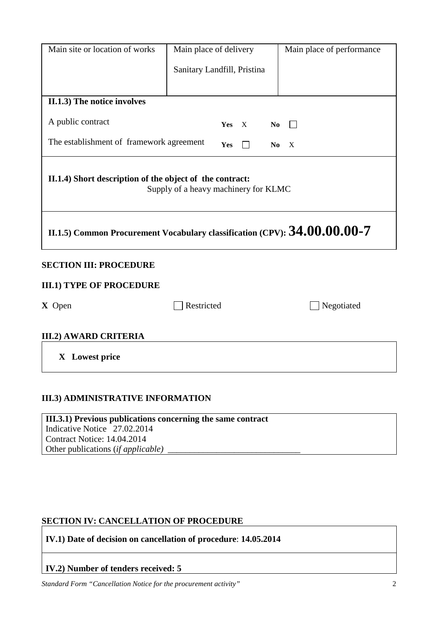| Main site or location of works                                                                   | Main place of delivery               | Main place of performance |  |  |  |  |
|--------------------------------------------------------------------------------------------------|--------------------------------------|---------------------------|--|--|--|--|
|                                                                                                  | Sanitary Landfill, Pristina          |                           |  |  |  |  |
|                                                                                                  |                                      |                           |  |  |  |  |
| II.1.3) The notice involves                                                                      |                                      |                           |  |  |  |  |
| A public contract                                                                                | $\mathbf X$<br>N <sub>0</sub><br>Yes |                           |  |  |  |  |
| The establishment of framework agreement<br>Yes<br>N <sub>0</sub><br>X                           |                                      |                           |  |  |  |  |
| II.1.4) Short description of the object of the contract:<br>Supply of a heavy machinery for KLMC |                                      |                           |  |  |  |  |
| II.1.5) Common Procurement Vocabulary classification (CPV): $34.00.00.00$ -7                     |                                      |                           |  |  |  |  |
| <b>SECTION III: PROCEDURE</b>                                                                    |                                      |                           |  |  |  |  |
| <b>III.1) TYPE OF PROCEDURE</b>                                                                  |                                      |                           |  |  |  |  |
| X Open                                                                                           | Restricted                           | Negotiated                |  |  |  |  |
| <b>III.2) AWARD CRITERIA</b>                                                                     |                                      |                           |  |  |  |  |
| X Lowest price                                                                                   |                                      |                           |  |  |  |  |

# **III.3) ADMINISTRATIVE INFORMATION**

**III.3.1) Previous publications concerning the same contract** Indicative Notice 27.02.2014 Contract Notice: 14.04.2014 Other publications (*if applicable) \_\_\_\_\_\_\_\_\_\_\_\_\_\_\_\_\_\_\_\_\_\_\_\_\_\_\_\_\_\_*

## **SECTION IV: CANCELLATION OF PROCEDURE**

**IV.1) Date of decision on cancellation of procedure**: **14.05.2014** 

# **IV.2) Number of tenders received: 5**

*Standard Form "Cancellation Notice for the procurement activity"* 2